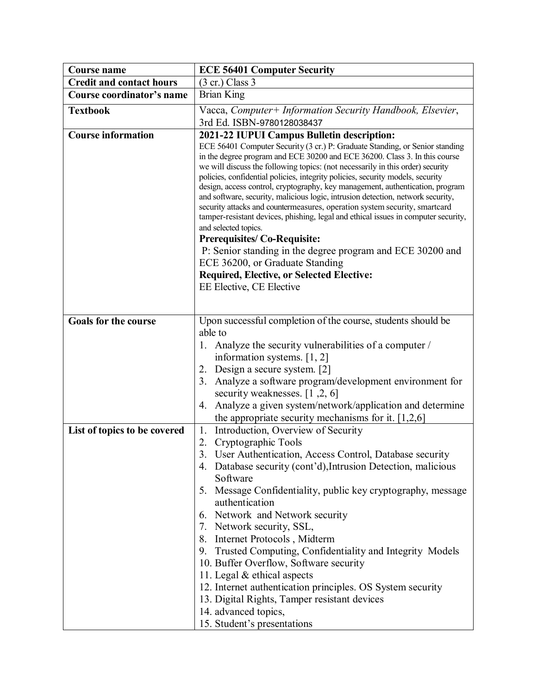| <b>Course name</b>              | <b>ECE 56401 Computer Security</b>                                                                                                                                                                                                                                                                                                                                                                                                                                                                                                                                                                                                                                                                                                                                                                                                                                                                                    |
|---------------------------------|-----------------------------------------------------------------------------------------------------------------------------------------------------------------------------------------------------------------------------------------------------------------------------------------------------------------------------------------------------------------------------------------------------------------------------------------------------------------------------------------------------------------------------------------------------------------------------------------------------------------------------------------------------------------------------------------------------------------------------------------------------------------------------------------------------------------------------------------------------------------------------------------------------------------------|
| <b>Credit and contact hours</b> | $(3 \text{ cr.})$ Class 3                                                                                                                                                                                                                                                                                                                                                                                                                                                                                                                                                                                                                                                                                                                                                                                                                                                                                             |
| Course coordinator's name       | <b>Brian King</b>                                                                                                                                                                                                                                                                                                                                                                                                                                                                                                                                                                                                                                                                                                                                                                                                                                                                                                     |
| <b>Textbook</b>                 | Vacca, Computer+ Information Security Handbook, Elsevier,                                                                                                                                                                                                                                                                                                                                                                                                                                                                                                                                                                                                                                                                                                                                                                                                                                                             |
|                                 | 3rd Ed. ISBN-9780128038437                                                                                                                                                                                                                                                                                                                                                                                                                                                                                                                                                                                                                                                                                                                                                                                                                                                                                            |
| <b>Course information</b>       | 2021-22 IUPUI Campus Bulletin description:                                                                                                                                                                                                                                                                                                                                                                                                                                                                                                                                                                                                                                                                                                                                                                                                                                                                            |
|                                 | ECE 56401 Computer Security (3 cr.) P: Graduate Standing, or Senior standing<br>in the degree program and ECE 30200 and ECE 36200. Class 3. In this course<br>we will discuss the following topics: (not necessarily in this order) security<br>policies, confidential policies, integrity policies, security models, security<br>design, access control, cryptography, key management, authentication, program<br>and software, security, malicious logic, intrusion detection, network security,<br>security attacks and countermeasures, operation system security, smartcard<br>tamper-resistant devices, phishing, legal and ethical issues in computer security,<br>and selected topics.<br><b>Prerequisites/Co-Requisite:</b><br>P: Senior standing in the degree program and ECE 30200 and<br>ECE 36200, or Graduate Standing<br><b>Required, Elective, or Selected Elective:</b><br>EE Elective, CE Elective |
| <b>Goals for the course</b>     | Upon successful completion of the course, students should be                                                                                                                                                                                                                                                                                                                                                                                                                                                                                                                                                                                                                                                                                                                                                                                                                                                          |
|                                 | able to                                                                                                                                                                                                                                                                                                                                                                                                                                                                                                                                                                                                                                                                                                                                                                                                                                                                                                               |
|                                 | 1. Analyze the security vulnerabilities of a computer /                                                                                                                                                                                                                                                                                                                                                                                                                                                                                                                                                                                                                                                                                                                                                                                                                                                               |
|                                 | information systems. $[1, 2]$                                                                                                                                                                                                                                                                                                                                                                                                                                                                                                                                                                                                                                                                                                                                                                                                                                                                                         |
|                                 | Design a secure system. [2]<br>2.                                                                                                                                                                                                                                                                                                                                                                                                                                                                                                                                                                                                                                                                                                                                                                                                                                                                                     |
|                                 | Analyze a software program/development environment for<br>3.                                                                                                                                                                                                                                                                                                                                                                                                                                                                                                                                                                                                                                                                                                                                                                                                                                                          |
|                                 | security weaknesses. $[1, 2, 6]$                                                                                                                                                                                                                                                                                                                                                                                                                                                                                                                                                                                                                                                                                                                                                                                                                                                                                      |
|                                 | Analyze a given system/network/application and determine<br>4.<br>the appropriate security mechanisms for it. $[1,2,6]$                                                                                                                                                                                                                                                                                                                                                                                                                                                                                                                                                                                                                                                                                                                                                                                               |
| List of topics to be covered    | Introduction, Overview of Security<br>1.                                                                                                                                                                                                                                                                                                                                                                                                                                                                                                                                                                                                                                                                                                                                                                                                                                                                              |
|                                 | Cryptographic Tools<br>2.                                                                                                                                                                                                                                                                                                                                                                                                                                                                                                                                                                                                                                                                                                                                                                                                                                                                                             |
|                                 | 3. User Authentication, Access Control, Database security                                                                                                                                                                                                                                                                                                                                                                                                                                                                                                                                                                                                                                                                                                                                                                                                                                                             |
|                                 | 4. Database security (cont'd), Intrusion Detection, malicious                                                                                                                                                                                                                                                                                                                                                                                                                                                                                                                                                                                                                                                                                                                                                                                                                                                         |
|                                 | Software                                                                                                                                                                                                                                                                                                                                                                                                                                                                                                                                                                                                                                                                                                                                                                                                                                                                                                              |
|                                 | 5. Message Confidentiality, public key cryptography, message<br>authentication                                                                                                                                                                                                                                                                                                                                                                                                                                                                                                                                                                                                                                                                                                                                                                                                                                        |
|                                 | 6. Network and Network security                                                                                                                                                                                                                                                                                                                                                                                                                                                                                                                                                                                                                                                                                                                                                                                                                                                                                       |
|                                 | 7. Network security, SSL,                                                                                                                                                                                                                                                                                                                                                                                                                                                                                                                                                                                                                                                                                                                                                                                                                                                                                             |
|                                 | 8. Internet Protocols, Midterm                                                                                                                                                                                                                                                                                                                                                                                                                                                                                                                                                                                                                                                                                                                                                                                                                                                                                        |
|                                 | 9. Trusted Computing, Confidentiality and Integrity Models                                                                                                                                                                                                                                                                                                                                                                                                                                                                                                                                                                                                                                                                                                                                                                                                                                                            |
|                                 | 10. Buffer Overflow, Software security                                                                                                                                                                                                                                                                                                                                                                                                                                                                                                                                                                                                                                                                                                                                                                                                                                                                                |
|                                 | 11. Legal & ethical aspects                                                                                                                                                                                                                                                                                                                                                                                                                                                                                                                                                                                                                                                                                                                                                                                                                                                                                           |
|                                 | 12. Internet authentication principles. OS System security                                                                                                                                                                                                                                                                                                                                                                                                                                                                                                                                                                                                                                                                                                                                                                                                                                                            |
|                                 | 13. Digital Rights, Tamper resistant devices                                                                                                                                                                                                                                                                                                                                                                                                                                                                                                                                                                                                                                                                                                                                                                                                                                                                          |
|                                 | 14. advanced topics,                                                                                                                                                                                                                                                                                                                                                                                                                                                                                                                                                                                                                                                                                                                                                                                                                                                                                                  |
|                                 | 15. Student's presentations                                                                                                                                                                                                                                                                                                                                                                                                                                                                                                                                                                                                                                                                                                                                                                                                                                                                                           |